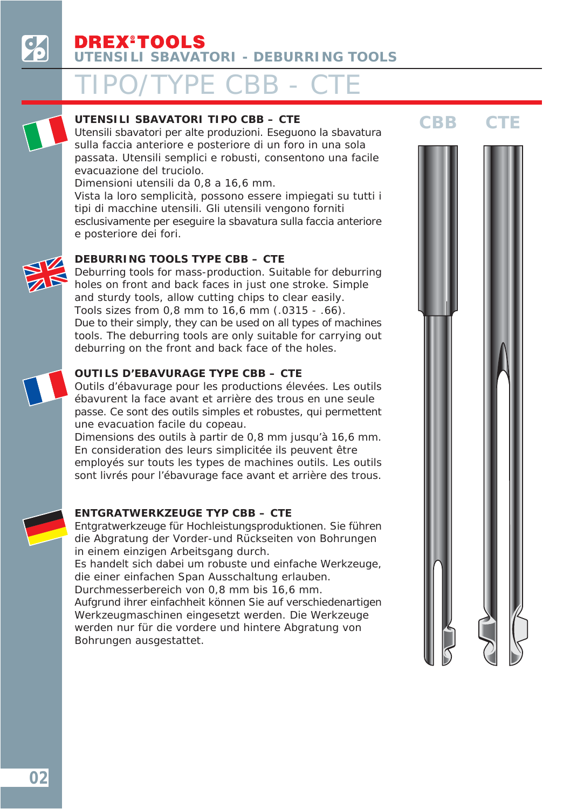### TIPO/TYPE CBB - CTE



**UTENSILI SBAVATORI TIPO CBB – CTE**<br>
Utensili sbavatori per alte produzioni. Eseguono la sbavatura CBB sulla faccia anteriore e posteriore di un foro in una sola passata. Utensili semplici e robusti, consentono una facile evacuazione del truciolo.

Dimensioni utensili da 0,8 a 16,6 mm.

Vista la loro semplicità, possono essere impiegati su tutti i tipi di macchine utensili. Gli utensili vengono forniti esclusivamente per eseguire la sbavatura sulla faccia anteriore e posteriore dei fori.

### *DEBURRING TOOLS TYPE CBB – CTE*

*Deburring tools for mass-production. Suitable for deburring holes on front and back faces in just one stroke. Simple and sturdy tools, allow cutting chips to clear easily. Tools sizes from 0,8 mm to 16,6 mm (.0315 - .66). Due to their simply, they can be used on all types of machines tools. The deburring tools are only suitable for carrying out deburring on the front and back face of the holes.*

### **OUTILS D'EBAVURAGE TYPE CBB – CTE**

Outils d'ébavurage pour les productions élevées. Les outils ébavurent la face avant et arrière des trous en une seule passe. Ce sont des outils simples et robustes, qui permettent une evacuation facile du copeau.

Dimensions des outils à partir de 0,8 mm jusqu'à 16,6 mm. En consideration des leurs simplicitée ils peuvent être employés sur touts les types de machines outils. Les outils sont livrés pour l'ébavurage face avant et arrière des trous.

### *ENTGRATWERKZEUGE TYP CBB – CTE*

*Entgratwerkzeuge für Hochleistungsproduktionen. Sie führen die Abgratung der Vorder-und Rückseiten von Bohrungen in einem einzigen Arbeitsgang durch.*

*Es handelt sich dabei um robuste und einfache Werkzeuge, die einer einfachen Span Ausschaltung erlauben.*

*Durchmesserbereich von 0,8 mm bis 16,6 mm. Aufgrund ihrer einfachheit können Sie auf verschiedenartigen Werkzeugmaschinen eingesetzt werden. Die Werkzeuge werden nur für die vordere und hintere Abgratung von Bohrungen ausgestattet.*

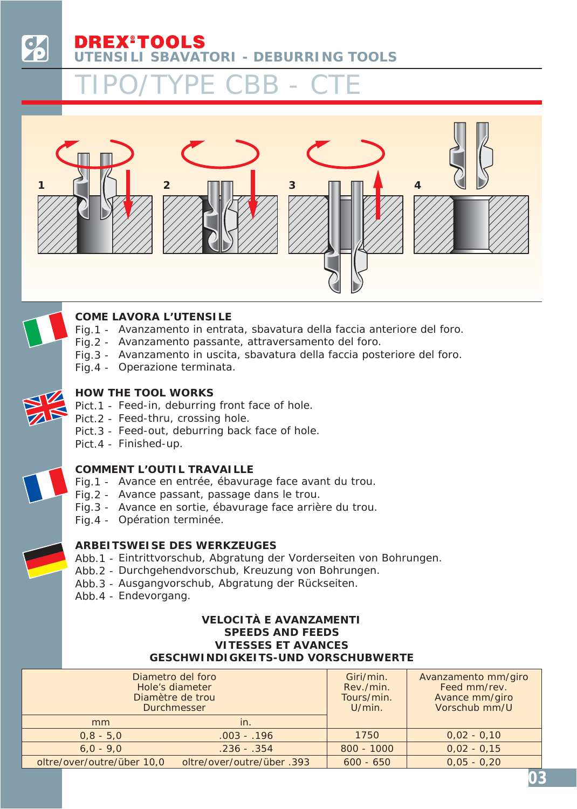### EX®TOOLS **UTENSILI SBAVATORI - DEBURRING TOOLS**

## TIPO/TYPE CBB - CTE





### **COME LAVORA L'UTENSILE**

- Fig.1 Avanzamento in entrata, sbavatura della faccia anteriore del foro.
- Fig.2 Avanzamento passante, attraversamento del foro.
- Fig.3 Avanzamento in uscita, sbavatura della faccia posteriore del foro.
- Fig.4 Operazione terminata.



### *HOW THE TOOL WORKS*

- *Pict.1 - Feed-in, deburring front face of hole.*
- *Pict.2 - Feed-thru, crossing hole.*
- *Pict.3 - Feed-out, deburring back face of hole.*
- *Pict.4 - Finished-up.*

### **COMMENT L'OUTIL TRAVAILLE**

- Fig.1 Avance en entrée, ébavurage face avant du trou.
- Fig.2 Avance passant, passage dans le trou.
- Fig.3 Avance en sortie, ébavurage face arrière du trou.
- Fig.4 Opération terminée.

### *ARBEITSWEISE DES WERKZEUGES*

- *Abb.1 - Eintrittvorschub, Abgratung der Vorderseiten von Bohrungen.*
- *Abb.2 - Durchgehendvorschub, Kreuzung von Bohrungen.*
- *Abb.3 - Ausgangvorschub, Abgratung der Rückseiten.*
- *Abb.4 - Endevorgang.*

### **VELOCITÀ E AVANZAMENTI** *SPEEDS AND FEEDS* **VITESSES ET AVANCES** *GESCHWINDIGKEITS-UND VORSCHUBWERTE*

|                            | Diametro del foro<br>Hole's diameter<br>Diamètre de trou<br><b>Durchmesser</b> | Giri/min.<br>Rev./min.<br>Tours/min.<br>$U/min$ . | Avanzamento mm/giro<br>Feed mm/rev.<br>Avance mm/giro<br>Vorschub mm/U |
|----------------------------|--------------------------------------------------------------------------------|---------------------------------------------------|------------------------------------------------------------------------|
| mm                         | in.                                                                            |                                                   |                                                                        |
| $0,8 - 5,0$                | $.003 - .196$                                                                  | 1750                                              | $0,02 - 0,10$                                                          |
| $6,0 - 9,0$                | $.236 - .354$                                                                  | $800 - 1000$                                      | $0,02 - 0,15$                                                          |
| oltre/over/outre/über 10,0 | oltre/over/outre/über.393                                                      | $600 - 650$                                       | $0,05 - 0,20$                                                          |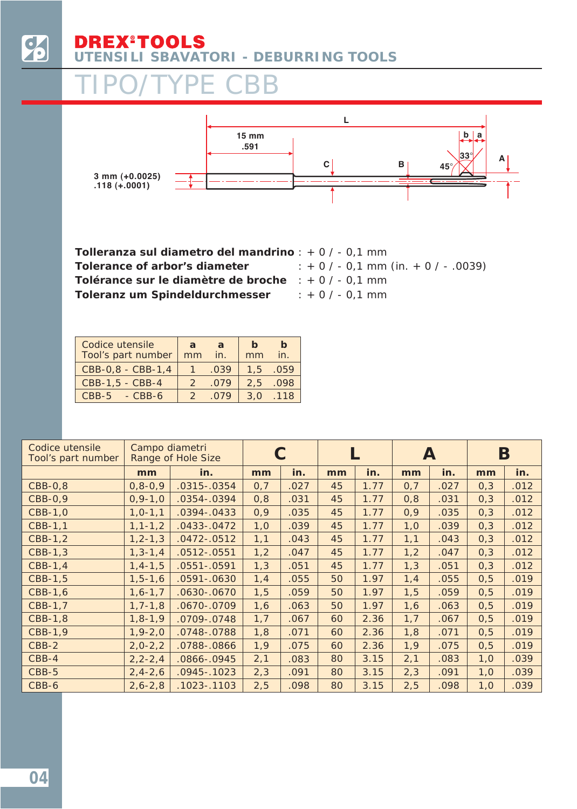

#### **EX®TOOLS** D **UTENSILI SBAVATORI - DEBURRING TOOLS**

### TIPO/TYPE CBB



**Tolleranza sul diametro del mandrino** : + 0 / - 0,1 mm *Tolerance of arbor's diameter* **Tolérance sur le diamètre de broche** : + 0 / - 0,1 mm *Toleranz um Spindeldurchmesser : + 0 / - 0,1 mm (in. + 0 / - .0039) : + 0 / - 0,1 mm*

| Codice utensile<br>Tool's part number | a<br>mm | a.<br>in. | $\mathbf b$<br>mm | $\mathbf b$<br>in. |
|---------------------------------------|---------|-----------|-------------------|--------------------|
| CBB-0,8 - CBB-1,4                     |         | .039      | 1.5               | .059               |
| CBB-1,5 - CBB-4                       |         | .079      | 2.5               | .098               |
| $CBB-5 - CBB-6$                       |         | 079       | 3.0               | .118               |

| Codice utensile<br>Tool's part number | Campo diametri | Range of Hole Size |      |      |    |      | A    |      | Β    |      |
|---------------------------------------|----------------|--------------------|------|------|----|------|------|------|------|------|
|                                       | mm             | in.                | mm   | in.  | mm | in.  | mm   | in.  | mm   | in.  |
| CBB-0,8                               | $0, 8 - 0, 9$  | $.0315-.0354$      | 0,7  | .027 | 45 | 1.77 | 0,7  | .027 | 0,3  | .012 |
| CBB-0,9                               | $0, 9 - 1, 0$  | $.0354-.0394$      | 0,8  | .031 | 45 | 1.77 | 0,8  | .031 | 0,3  | .012 |
| CBB-1,0                               | $1, 0 - 1, 1$  | $.0394 - .0433$    | 0,9  | .035 | 45 | 1.77 | 0,9  | .035 | 0,3  | .012 |
| CBB-1,1                               | $1, 1 - 1, 2$  | $.0433-.0472$      | 1,0  | .039 | 45 | 1.77 | 1,0  | .039 | 0,3  | .012 |
| CBB-1,2                               | $1, 2 - 1, 3$  | $.0472-.0512$      | 1,1  | .043 | 45 | 1.77 | 1,1  | .043 | 0,3  | .012 |
| CBB-1,3                               | $1, 3 - 1, 4$  | $.0512-.0551$      | 1,2  | .047 | 45 | 1.77 | 1,2  | .047 | 0,3  | .012 |
| CBB-1,4                               | $1, 4 - 1, 5$  | 0551-.0591         | 1,3  | .051 | 45 | 1.77 | 1,3  | .051 | 0,3  | .012 |
| CBB-1,5                               | $1, 5 - 1, 6$  | $.0591 - .0630$    | 1, 4 | .055 | 50 | 1.97 | 1,4  | .055 | 0, 5 | .019 |
| CBB-1,6                               | $1, 6 - 1, 7$  | 0630-.0670         | 1, 5 | .059 | 50 | 1.97 | 1, 5 | .059 | 0, 5 | .019 |
| CBB-1,7                               | $1, 7 - 1, 8$  | 0670-.0709         | 1,6  | .063 | 50 | 1.97 | 1,6  | .063 | 0, 5 | .019 |
| CBB-1,8                               | $1, 8 - 1, 9$  | 0709-.0748         | 1,7  | .067 | 60 | 2.36 | 1,7  | .067 | 0, 5 | .019 |
| CBB-1,9                               | $1, 9 - 2, 0$  | 0748-.0788         | 1,8  | .071 | 60 | 2.36 | 1,8  | .071 | 0, 5 | .019 |
| CBB-2                                 | $2,0-2,2$      | 0788-.0866         | 1,9  | .075 | 60 | 2.36 | 1,9  | .075 | 0, 5 | .019 |
| $CBB-4$                               | $2, 2 - 2, 4$  | 0866-.0945         | 2,1  | .083 | 80 | 3.15 | 2,1  | .083 | 1,0  | .039 |
| CBB-5                                 | $2, 4 - 2, 6$  | $.0945-.1023$      | 2,3  | .091 | 80 | 3.15 | 2,3  | .091 | 1,0  | .039 |
| CBB-6                                 | $2,6 - 2,8$    | $.1023 - .1103$    | 2,5  | .098 | 80 | 3.15 | 2,5  | .098 | 1,0  | .039 |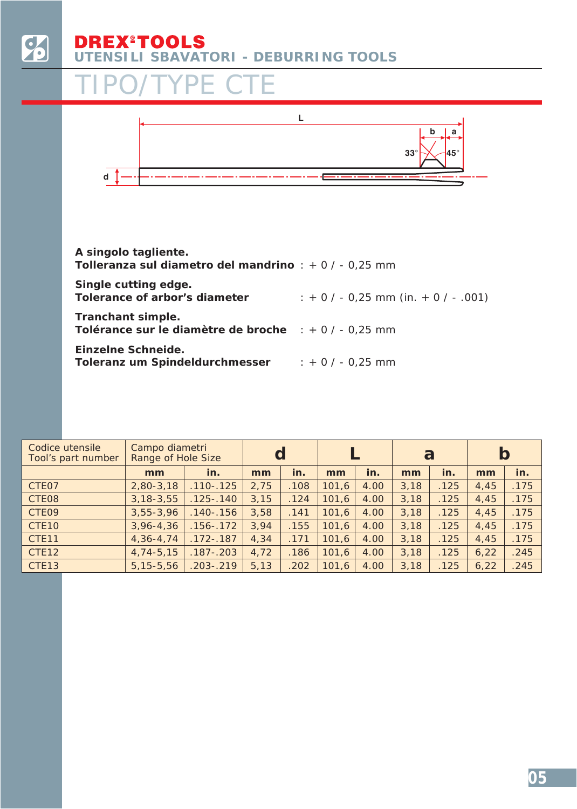

# **UTENSILI SBAVATORI - DEBURRING TOOLS**

### TIPO/TYPE CTE



| A singolo tagliente.<br><b>Tolleranza sul diametro del mandrino</b> : $+0/-0.25$ mm |                                     |
|-------------------------------------------------------------------------------------|-------------------------------------|
| Single cutting edge.<br>Tolerance of arbor's diameter                               | $: +0/- 0.25$ mm (in. $+0/- .001$ ) |
| Tranchant simple.<br>Tolérance sur le diamètre de broche $\pm 0$ / - 0.25 mm        |                                     |
| Einzelne Schneide.<br>Toleranz um Spindeldurchmesser                                | $: +0/-0.25$ mm                     |

| Codice utensile<br>Tool's part number | Campo diametri<br>Range of Hole Size |               | d    |      |       |      | a    |      | b    |      |
|---------------------------------------|--------------------------------------|---------------|------|------|-------|------|------|------|------|------|
|                                       | mm                                   | in.           | mm   | in.  | mm    | in.  | mm   | in.  | mm   | in.  |
| CTE07                                 | $2,80-3,18$                          | $.110 - .125$ | 2,75 | .108 | 101,6 | 4.00 | 3,18 | .125 | 4,45 | .175 |
| CTE08                                 | $3, 18 - 3, 55$                      | $.125-.140$   | 3,15 | .124 | 101,6 | 4.00 | 3,18 | .125 | 4,45 | .175 |
| CTE09                                 | $3,55 - 3,96$                        | $.140 - .156$ | 3,58 | .141 | 101,6 | 4.00 | 3,18 | .125 | 4,45 | .175 |
| CTE10                                 | $3,96 - 4,36$                        | $.156 - .172$ | 3,94 | .155 | 101,6 | 4.00 | 3,18 | .125 | 4,45 | .175 |
| CTE <sub>11</sub>                     | $4,36 - 4,74$                        | $.172 - .187$ | 4,34 | .171 | 101,6 | 4.00 | 3,18 | .125 | 4,45 | .175 |
| CTE12                                 | $4,74-5,15$                          | $.187 - .203$ | 4,72 | .186 | 101,6 | 4.00 | 3,18 | .125 | 6,22 | .245 |
| CTE <sub>13</sub>                     | $5, 15 - 5, 56$                      | $.203 - .219$ | 5,13 | .202 | 101,6 | 4.00 | 3,18 | .125 | 6,22 | .245 |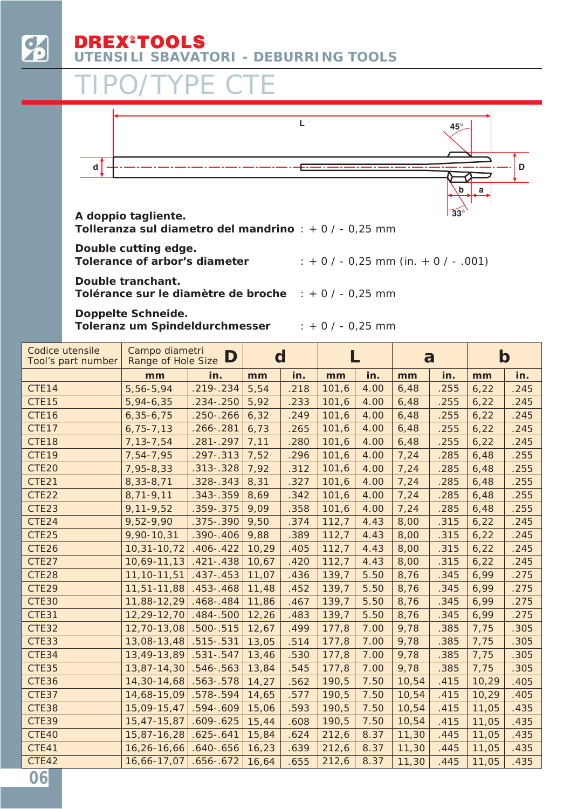

### **EX®TOOLS UTENSILI SBAVATORI - DEBURRING TOOLS**

### TIPO/TYPE CTE



**Tolleranza sul diametro del mandrino** : + 0 / - 0,25 mm

*Double cutting edge.*

*Tolerance of arbor's diameter : + 0 / - 0,25 mm (in. + 0 / - .001)*

**Double tranchant. Tolérance sur le diamètre de broche** : + 0 / - 0,25 mm

*Doppelte Schneide. Toleranz um Spindeldurchmesser : + 0 / - 0,25 mm*

| Codice utensile<br>Tool's part number | Campo diametri<br>Range of Hole Size | D             | $\mathbf d$ |      |       |      | a     |      | $\mathbf b$ |      |
|---------------------------------------|--------------------------------------|---------------|-------------|------|-------|------|-------|------|-------------|------|
|                                       | mm                                   | in.           | mm          | in.  | mm    | in.  | mm    | in.  | mm          | in.  |
| CTE14                                 | 5,56-5,94                            | $.219 - .234$ | 5,54        | .218 | 101,6 | 4.00 | 6,48  | .255 | 6,22        | .245 |
| CTE15                                 | 5,94-6,35                            | $.234 - .250$ | 5,92        | .233 | 101,6 | 4.00 | 6,48  | .255 | 6,22        | .245 |
| CTE16                                 | $6,35-6,75$                          | $.250 - .266$ | 6,32        | .249 | 101,6 | 4.00 | 6,48  | .255 | 6,22        | .245 |
| CTE17                                 | $6,75 - 7,13$                        | $.266 - .281$ | 6,73        | .265 | 101,6 | 4.00 | 6,48  | .255 | 6,22        | .245 |
| CTE18                                 | 7, 13 - 7, 54                        | $.281-.297$   | 7,11        | .280 | 101,6 | 4.00 | 6,48  | .255 | 6,22        | .245 |
| CTE19                                 | 7,54-7,95                            | $.297 - .313$ | 7,52        | .296 | 101,6 | 4.00 | 7,24  | .285 | 6,48        | .255 |
| CTE20                                 | 7,95-8,33                            | $.313-.328$   | 7,92        | .312 | 101,6 | 4.00 | 7,24  | .285 | 6,48        | .255 |
| CTE21                                 | 8,33-8,71                            | $.328 - .343$ | 8,31        | .327 | 101,6 | 4.00 | 7,24  | .285 | 6,48        | .255 |
| CTE22                                 | 8,71-9,11                            | $.343-.359$   | 8,69        | .342 | 101,6 | 4.00 | 7,24  | .285 | 6,48        | .255 |
| CTE23                                 | $9,11-9,52$                          | .359 - . 375  | 9,09        | .358 | 101,6 | 4.00 | 7,24  | .285 | 6,48        | .255 |
| CTE24                                 | 9,52-9,90                            | $.375-.390$   | 9,50        | .374 | 112,7 | 4.43 | 8,00  | .315 | 6,22        | .245 |
| CTE25                                 | 9,90-10,31                           | $.390 - .406$ | 9,88        | .389 | 112,7 | 4.43 | 8,00  | .315 | 6,22        | .245 |
| CTE26                                 | 10,31-10,72                          | $.406 - .422$ | 10,29       | .405 | 112,7 | 4.43 | 8,00  | .315 | 6,22        | .245 |
| CTE27                                 | 10,69-11,13                          | $.421 - .438$ | 10,67       | .420 | 112,7 | 4.43 | 8,00  | .315 | 6,22        | .245 |
| CTE28                                 | 11, 10-11, 51                        | $.437 - .453$ | 11,07       | .436 | 139,7 | 5.50 | 8,76  | .345 | 6,99        | .275 |
| CTE29                                 | 11,51-11,88                          | $.453 - .468$ | 11,48       | .452 | 139,7 | 5.50 | 8,76  | .345 | 6,99        | .275 |
| <b>CTE30</b>                          | 11,88-12,29                          | $.468 - .484$ | 11,86       | .467 | 139,7 | 5.50 | 8,76  | .345 | 6,99        | .275 |
| CTE31                                 | 12,29-12,70                          | $.484 - .500$ | 12,26       | .483 | 139,7 | 5.50 | 8,76  | .345 | 6,99        | .275 |
| CTE32                                 | 12,70-13,08                          | $.500 - .515$ | 12,67       | .499 | 177,8 | 7.00 | 9,78  | .385 | 7,75        | .305 |
| CTE33                                 | 13,08-13,48                          | $.515-.531$   | 13,05       | .514 | 177,8 | 7.00 | 9,78  | .385 | 7,75        | .305 |
| CTE34                                 | 13,49-13,89                          | $.531-.547$   | 13,46       | .530 | 177,8 | 7.00 | 9,78  | .385 | 7,75        | .305 |
| <b>CTE35</b>                          | 13,87-14,30                          | $.546 - .563$ | 13,84       | .545 | 177,8 | 7.00 | 9,78  | .385 | 7,75        | .305 |
| CTE36                                 | 14,30-14,68                          | $.563 - .578$ | 14,27       | .562 | 190,5 | 7.50 | 10,54 | .415 | 10,29       | .405 |
| CTE37                                 | 14,68-15,09                          | $.578 - .594$ | 14,65       | .577 | 190,5 | 7.50 | 10,54 | .415 | 10,29       | .405 |
| CTE38                                 | 15,09-15,47                          | $.594 - .609$ | 15,06       | .593 | 190,5 | 7.50 | 10,54 | .415 | 11,05       | .435 |
| <b>CTE39</b>                          | 15,47-15,87                          | $.609 - .625$ | 15,44       | .608 | 190,5 | 7.50 | 10,54 | .415 | 11,05       | .435 |
| CTE40                                 | 15,87-16,28                          | $.625 - .641$ | 15,84       | .624 | 212,6 | 8.37 | 11,30 | .445 | 11,05       | .435 |
| CTE41                                 | 16,26-16,66                          | $.640 - .656$ | 16,23       | .639 | 212,6 | 8.37 | 11,30 | .445 | 11,05       | .435 |
| CTE42                                 | 16,66-17,07                          | $.656 - .672$ | 16,64       | .655 | 212,6 | 8.37 | 11,30 | .445 | 11,05       | .435 |
| 06                                    |                                      |               |             |      |       |      |       |      |             |      |